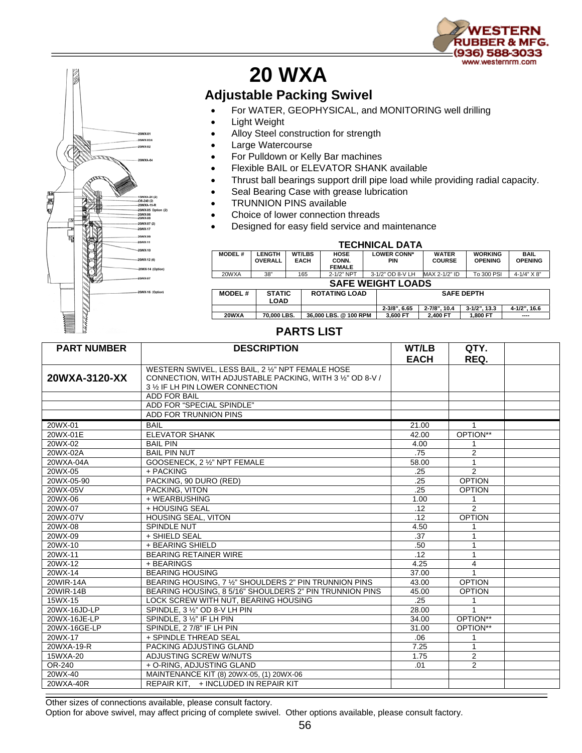



## **20 WXA**

## **Adjustable Packing Swivel**

- For WATER, GEOPHYSICAL, and MONITORING well drilling
- **Light Weight**
- Alloy Steel construction for strength
- Large Watercourse
- For Pulldown or Kelly Bar machines
- Flexible BAIL or ELEVATOR SHANK available
- Thrust ball bearings support drill pipe load while providing radial capacity.
- Seal Bearing Case with grease lubrication
- **TRUNNION PINS available**
- Choice of lower connection threads
- Designed for easy field service and maintenance

| <b>TECHNICAL DATA</b>    |                                 |                              |                                       |                                  |                               |                                  |                               |  |  |  |  |
|--------------------------|---------------------------------|------------------------------|---------------------------------------|----------------------------------|-------------------------------|----------------------------------|-------------------------------|--|--|--|--|
| <b>MODEL#</b>            | <b>LENGTH</b><br><b>OVERALL</b> | <b>WT/LBS</b><br><b>EACH</b> | <b>HOSE</b><br>CONN.<br><b>FEMALE</b> | <b>LOWER CONN*</b><br><b>PIN</b> | <b>WATER</b><br><b>COURSE</b> | <b>WORKING</b><br><b>OPENING</b> | <b>BAIL</b><br><b>OPENING</b> |  |  |  |  |
| 20WXA                    | 38"                             | 165                          | 2-1/2" NPT                            | 3-1/2" OD 8-V LH                 | MAX 2-1/2" ID                 | To 300 PSI                       | $4 - 1/4" X 8"$               |  |  |  |  |
| <b>SAFE WEIGHT LOADS</b> |                                 |                              |                                       |                                  |                               |                                  |                               |  |  |  |  |
| <b>MODEL#</b>            | <b>STATIC</b>                   |                              | <b>ROTATING LOAD</b>                  |                                  | <b>SAFE DEPTH</b>             |                                  |                               |  |  |  |  |
|                          | <b>LOAD</b>                     |                              |                                       |                                  |                               |                                  |                               |  |  |  |  |
|                          |                                 |                              |                                       | 2-3/8", 6.65                     | 2-7/8", 10.4                  | $3-1/2$ ", 13.3                  | 4-1/2", 16.6                  |  |  |  |  |
| 20WXA                    | 70.000 LBS.                     |                              | 36,000 LBS, @ 100 RPM                 | 3.600 FT                         | 2.400 FT                      | 1.800 FT                         | ----                          |  |  |  |  |

## **PARTS LIST**

| <b>PART NUMBER</b> | <b>DESCRIPTION</b>                                                                                                                                 | WT/LB<br><b>EACH</b> | QTY.<br>REQ.   |  |
|--------------------|----------------------------------------------------------------------------------------------------------------------------------------------------|----------------------|----------------|--|
| 20WXA-3120-XX      | WESTERN SWIVEL, LESS BAIL, 2 1/2" NPT FEMALE HOSE<br>CONNECTION, WITH ADJUSTABLE PACKING, WITH 3 1/2" OD 8-V /<br>3 1/2 IF LH PIN LOWER CONNECTION |                      |                |  |
|                    | <b>ADD FOR BAIL</b>                                                                                                                                |                      |                |  |
|                    | ADD FOR "SPECIAL SPINDLE"                                                                                                                          |                      |                |  |
|                    | ADD FOR TRUNNION PINS                                                                                                                              |                      |                |  |
| 20WX-01            | <b>BAIL</b>                                                                                                                                        | 21.00                |                |  |
| 20WX-01E           | <b>ELEVATOR SHANK</b>                                                                                                                              | 42.00                | OPTION**       |  |
| 20WX-02            | <b>BAIL PIN</b>                                                                                                                                    | 4.00                 |                |  |
| 20WX-02A           | <b>BAIL PIN NUT</b>                                                                                                                                | .75                  | $\overline{2}$ |  |
| 20WXA-04A          | GOOSENECK, 2 1/2" NPT FEMALE                                                                                                                       | 58.00                | $\mathbf{1}$   |  |
| 20WX-05            | + PACKING                                                                                                                                          | .25                  | $\mathcal{P}$  |  |
| 20WX-05-90         | PACKING, 90 DURO (RED)                                                                                                                             | .25                  | <b>OPTION</b>  |  |
| 20WX-05V           | PACKING, VITON                                                                                                                                     | .25                  | <b>OPTION</b>  |  |
| 20WX-06            | + WEARBUSHING                                                                                                                                      | 1.00                 | 1              |  |
| 20WX-07            | + HOUSING SEAL                                                                                                                                     | .12                  | $\overline{2}$ |  |
| 20WX-07V           | <b>HOUSING SEAL, VITON</b>                                                                                                                         | .12                  | <b>OPTION</b>  |  |
| 20WX-08            | SPINDLE NUT                                                                                                                                        | 4.50                 | 1              |  |
| 20WX-09            | + SHIELD SEAL                                                                                                                                      | .37                  | 1              |  |
| 20WX-10            | + BEARING SHIELD                                                                                                                                   | .50                  | 1              |  |
| 20WX-11            | <b>BEARING RETAINER WIRE</b>                                                                                                                       | .12                  | $\mathbf{1}$   |  |
| 20WX-12            | + BEARINGS                                                                                                                                         | 4.25                 | $\overline{4}$ |  |
| 20WX-14            | <b>BEARING HOUSING</b>                                                                                                                             | 37.00                | 1              |  |
| 20WIR-14A          | BEARING HOUSING, 7 1/2" SHOULDERS 2" PIN TRUNNION PINS                                                                                             | 43.00                | <b>OPTION</b>  |  |
| 20WIR-14B          | BEARING HOUSING, 8 5/16" SHOULDERS 2" PIN TRUNNION PINS                                                                                            | 45.00                | <b>OPTION</b>  |  |
| 15WX-15            | LOCK SCREW WITH NUT. BEARING HOUSING                                                                                                               | .25                  | 1              |  |
| 20WX-16JD-LP       | SPINDLE, 3 1/2" OD 8-V LH PIN                                                                                                                      | 28.00                | $\mathbf{1}$   |  |
| 20WX-16JE-LP       | SPINDLE, 3 1/2" IF LH PIN                                                                                                                          | 34.00                | OPTION**       |  |
| 20WX-16GE-LP       | SPINDLE, 27/8" IF LH PIN                                                                                                                           | 31.00                | OPTION**       |  |
| 20WX-17            | + SPINDLE THREAD SEAL                                                                                                                              | .06                  | 1              |  |
| 20WXA-19-R         | PACKING ADJUSTING GLAND                                                                                                                            | 7.25                 | $\mathbf{1}$   |  |
| 15WXA-20           | ADJUSTING SCREW W/NUTS                                                                                                                             | 1.75                 | 2              |  |
| OR-240             | + O-RING, ADJUSTING GLAND                                                                                                                          | .01                  | $\overline{2}$ |  |
| 20WX-40            | MAINTENANCE KIT (8) 20WX-05, (1) 20WX-06                                                                                                           |                      |                |  |
| 20WXA-40R          | REPAIR KIT, + INCLUDED IN REPAIR KIT                                                                                                               |                      |                |  |

Other sizes of connections available, please consult factory.

Option for above swivel, may affect pricing of complete swivel. Other options available, please consult factory.